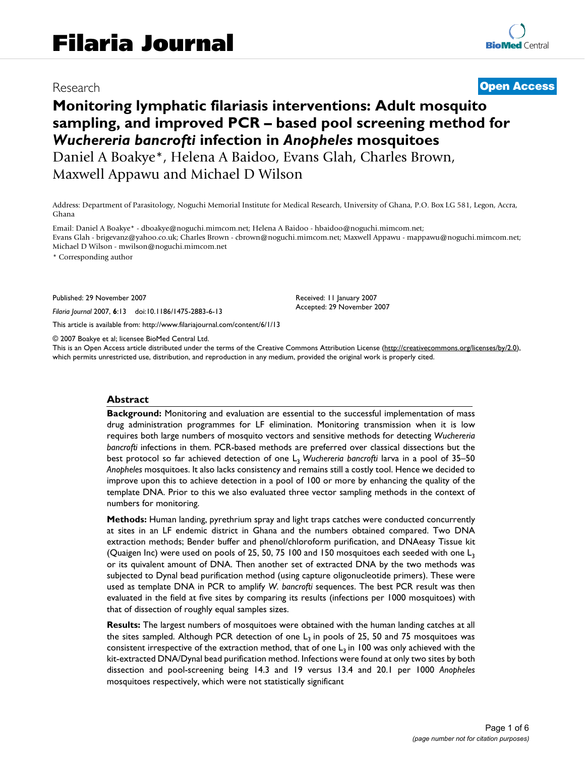# Research **[Open Access](http://www.biomedcentral.com/info/about/charter/)**

# **Monitoring lymphatic filariasis interventions: Adult mosquito sampling, and improved PCR – based pool screening method for**  *Wuchereria bancrofti* **infection in** *Anopheles* **mosquitoes** Daniel A Boakye\*, Helena A Baidoo, Evans Glah, Charles Brown, Maxwell Appawu and Michael D Wilson

Address: Department of Parasitology, Noguchi Memorial Institute for Medical Research, University of Ghana, P.O. Box LG 581, Legon, Accra, Ghana

Email: Daniel A Boakye\* - dboakye@noguchi.mimcom.net; Helena A Baidoo - hbaidoo@noguchi.mimcom.net; Evans Glah - brigevanz@yahoo.co.uk; Charles Brown - cbrown@noguchi.mimcom.net; Maxwell Appawu - mappawu@noguchi.mimcom.net; Michael D Wilson - mwilson@noguchi.mimcom.net

\* Corresponding author

Published: 29 November 2007

*Filaria Journal* 2007, **6**:13 doi:10.1186/1475-2883-6-13

[This article is available from: http://www.filariajournal.com/content/6/1/13](http://www.filariajournal.com/content/6/1/13)

© 2007 Boakye et al; licensee BioMed Central Ltd.

This is an Open Access article distributed under the terms of the Creative Commons Attribution License [\(http://creativecommons.org/licenses/by/2.0\)](http://creativecommons.org/licenses/by/2.0), which permits unrestricted use, distribution, and reproduction in any medium, provided the original work is properly cited.

Received: 11 January 2007 Accepted: 29 November 2007

#### **Abstract**

**Background:** Monitoring and evaluation are essential to the successful implementation of mass drug administration programmes for LF elimination. Monitoring transmission when it is low requires both large numbers of mosquito vectors and sensitive methods for detecting *Wuchereria bancrofti* infections in them. PCR-based methods are preferred over classical dissections but the best protocol so far achieved detection of one L3 *Wuchereria bancrofti* larva in a pool of 35–50 *Anopheles* mosquitoes. It also lacks consistency and remains still a costly tool. Hence we decided to improve upon this to achieve detection in a pool of 100 or more by enhancing the quality of the template DNA. Prior to this we also evaluated three vector sampling methods in the context of numbers for monitoring.

**Methods:** Human landing, pyrethrium spray and light traps catches were conducted concurrently at sites in an LF endemic district in Ghana and the numbers obtained compared. Two DNA extraction methods; Bender buffer and phenol/chloroform purification, and DNAeasy Tissue kit (Quaigen Inc) were used on pools of 25, 50, 75 100 and 150 mosquitoes each seeded with one  $L_3$ or its quivalent amount of DNA. Then another set of extracted DNA by the two methods was subjected to Dynal bead purification method (using capture oligonucleotide primers). These were used as template DNA in PCR to amplify *W. bancrofti* sequences. The best PCR result was then evaluated in the field at five sites by comparing its results (infections per 1000 mosquitoes) with that of dissection of roughly equal samples sizes.

**Results:** The largest numbers of mosquitoes were obtained with the human landing catches at all the sites sampled. Although PCR detection of one  $L_3$  in pools of 25, 50 and 75 mosquitoes was consistent irrespective of the extraction method, that of one  $L_3$  in 100 was only achieved with the kit-extracted DNA/Dynal bead purification method. Infections were found at only two sites by both dissection and pool-screening being 14.3 and 19 versus 13.4 and 20.1 per 1000 *Anopheles* mosquitoes respectively, which were not statistically significant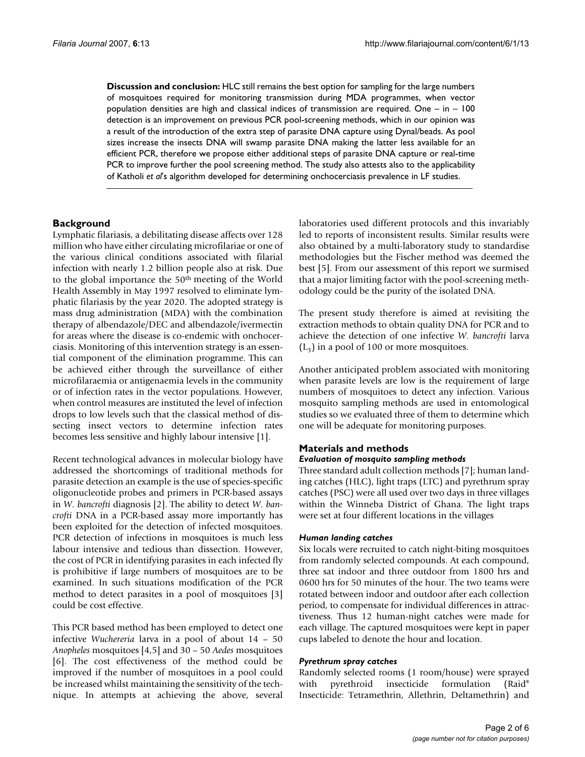**Discussion and conclusion:** HLC still remains the best option for sampling for the large numbers of mosquitoes required for monitoring transmission during MDA programmes, when vector population densities are high and classical indices of transmission are required. One – in – 100 detection is an improvement on previous PCR pool-screening methods, which in our opinion was a result of the introduction of the extra step of parasite DNA capture using Dynal/beads. As pool sizes increase the insects DNA will swamp parasite DNA making the latter less available for an efficient PCR, therefore we propose either additional steps of parasite DNA capture or real-time PCR to improve further the pool screening method. The study also attests also to the applicability of Katholi *et al*'s algorithm developed for determining onchocerciasis prevalence in LF studies.

# **Background**

Lymphatic filariasis, a debilitating disease affects over 128 million who have either circulating microfilariae or one of the various clinical conditions associated with filarial infection with nearly 1.2 billion people also at risk. Due to the global importance the 50th meeting of the World Health Assembly in May 1997 resolved to eliminate lymphatic filariasis by the year 2020. The adopted strategy is mass drug administration (MDA) with the combination therapy of albendazole/DEC and albendazole/ivermectin for areas where the disease is co-endemic with onchocerciasis. Monitoring of this intervention strategy is an essential component of the elimination programme. This can be achieved either through the surveillance of either microfilaraemia or antigenaemia levels in the community or of infection rates in the vector populations. However, when control measures are instituted the level of infection drops to low levels such that the classical method of dissecting insect vectors to determine infection rates becomes less sensitive and highly labour intensive [1].

Recent technological advances in molecular biology have addressed the shortcomings of traditional methods for parasite detection an example is the use of species-specific oligonucleotide probes and primers in PCR-based assays in *W. bancrofti* diagnosis [2]. The ability to detect *W. bancrofti* DNA in a PCR-based assay more importantly has been exploited for the detection of infected mosquitoes. PCR detection of infections in mosquitoes is much less labour intensive and tedious than dissection. However, the cost of PCR in identifying parasites in each infected fly is prohibitive if large numbers of mosquitoes are to be examined. In such situations modification of the PCR method to detect parasites in a pool of mosquitoes [3] could be cost effective.

This PCR based method has been employed to detect one infective *Wuchereria* larva in a pool of about 14 – 50 *Anopheles* mosquitoes [\[4,](#page-5-0)5] and 30 – 50 *Aedes* mosquitoes [6]. The cost effectiveness of the method could be improved if the number of mosquitoes in a pool could be increased whilst maintaining the sensitivity of the technique. In attempts at achieving the above, several

laboratories used different protocols and this invariably led to reports of inconsistent results. Similar results were also obtained by a multi-laboratory study to standardise methodologies but the Fischer method was deemed the best [5]. From our assessment of this report we surmised that a major limiting factor with the pool-screening methodology could be the purity of the isolated DNA.

The present study therefore is aimed at revisiting the extraction methods to obtain quality DNA for PCR and to achieve the detection of one infective *W. bancrofti* larva  $(L_3)$  in a pool of 100 or more mosquitoes.

Another anticipated problem associated with monitoring when parasite levels are low is the requirement of large numbers of mosquitoes to detect any infection. Various mosquito sampling methods are used in entomological studies so we evaluated three of them to determine which one will be adequate for monitoring purposes.

### **Materials and methods** *Evaluation of mosquito sampling methods*

Three standard adult collection methods [7]; human landing catches (HLC), light traps (LTC) and pyrethrum spray catches (PSC) were all used over two days in three villages within the Winneba District of Ghana. The light traps were set at four different locations in the villages

#### *Human landing catches*

Six locals were recruited to catch night-biting mosquitoes from randomly selected compounds. At each compound, three sat indoor and three outdoor from 1800 hrs and 0600 hrs for 50 minutes of the hour. The two teams were rotated between indoor and outdoor after each collection period, to compensate for individual differences in attractiveness. Thus 12 human-night catches were made for each village. The captured mosquitoes were kept in paper cups labeled to denote the hour and location.

#### *Pyrethrum spray catches*

Randomly selected rooms (1 room/house) were sprayed with pyrethroid insecticide formulation (Raid® Insecticide: Tetramethrin, Allethrin, Deltamethrin) and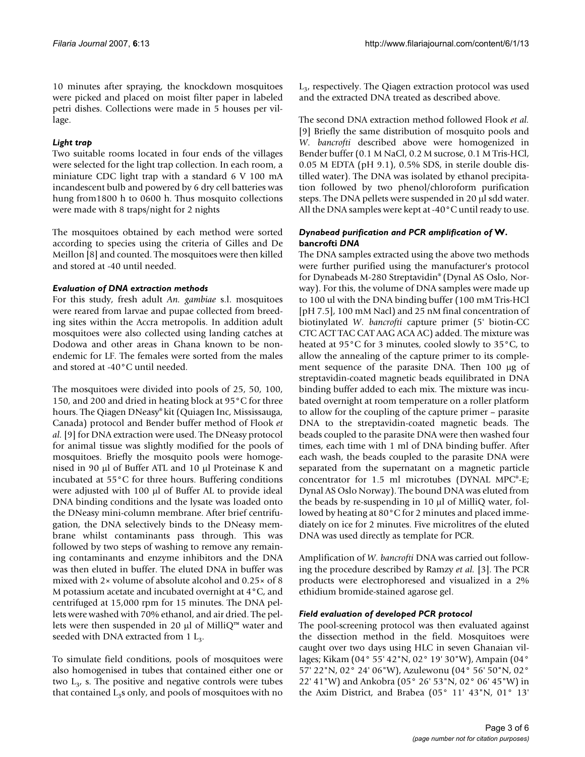10 minutes after spraying, the knockdown mosquitoes were picked and placed on moist filter paper in labeled petri dishes. Collections were made in 5 houses per village.

## *Light trap*

Two suitable rooms located in four ends of the villages were selected for the light trap collection. In each room, a miniature CDC light trap with a standard 6 V 100 mA incandescent bulb and powered by 6 dry cell batteries was hung from1800 h to 0600 h. Thus mosquito collections were made with 8 traps/night for 2 nights

The mosquitoes obtained by each method were sorted according to species using the criteria of Gilles and De Meillon [8] and counted. The mosquitoes were then killed and stored at -40 until needed.

#### *Evaluation of DNA extraction methods*

For this study, fresh adult *An. gambiae* s.l. mosquitoes were reared from larvae and pupae collected from breeding sites within the Accra metropolis. In addition adult mosquitoes were also collected using landing catches at Dodowa and other areas in Ghana known to be nonendemic for LF. The females were sorted from the males and stored at -40°C until needed.

The mosquitoes were divided into pools of 25, 50, 100, 150, and 200 and dried in heating block at 95°C for three hours. The Qiagen DNeasy® kit (Quiagen Inc, Mississauga, Canada) protocol and Bender buffer method of Flook *et al.* [9] for DNA extraction were used. The DNeasy protocol for animal tissue was slightly modified for the pools of mosquitoes. Briefly the mosquito pools were homogenised in 90 μl of Buffer ATL and 10 μl Proteinase K and incubated at 55°C for three hours. Buffering conditions were adjusted with 100 μl of Buffer AL to provide ideal DNA binding conditions and the lysate was loaded onto the DNeasy mini-column membrane. After brief centrifugation, the DNA selectively binds to the DNeasy membrane whilst contaminants pass through. This was followed by two steps of washing to remove any remaining contaminants and enzyme inhibitors and the DNA was then eluted in buffer. The eluted DNA in buffer was mixed with 2× volume of absolute alcohol and 0.25× of 8 M potassium acetate and incubated overnight at 4°C, and centrifuged at 15,000 rpm for 15 minutes. The DNA pellets were washed with 70% ethanol, and air dried. The pellets were then suspended in 20 μl of MilliQ<sup>™</sup> water and seeded with DNA extracted from  $1 L_3$ .

To simulate field conditions, pools of mosquitoes were also homogenised in tubes that contained either one or two  $L_3$ , s. The positive and negative controls were tubes that contained  $L_3$ s only, and pools of mosquitoes with no

 $L<sub>3</sub>$ , respectively. The Qiagen extraction protocol was used and the extracted DNA treated as described above.

The second DNA extraction method followed Flook *et al.* [9] Briefly the same distribution of mosquito pools and *W. bancrofti* described above were homogenized in Bender buffer (0.1 M NaCl, 0.2 M sucrose, 0.1 M Tris-HCl, 0.05 M EDTA (pH 9.1), 0.5% SDS, in sterile double distilled water). The DNA was isolated by ethanol precipitation followed by two phenol/chloroform purification steps. The DNA pellets were suspended in 20 μl sdd water. All the DNA samples were kept at -40°C until ready to use.

#### *Dynabead purification and PCR amplification of* **W. bancrofti** *DNA*

The DNA samples extracted using the above two methods were further purified using the manufacturer's protocol for Dynabeads M-280 Streptavidin® (Dynal AS Oslo, Norway). For this, the volume of DNA samples were made up to 100 ul with the DNA binding buffer (100 mM Tris-HCl [pH 7.5], 100 mM Nacl) and 25 nM final concentration of biotinylated *W. bancrofti* capture primer (5' biotin-CC CTC ACT TAC CAT AAG ACA AC) added. The mixture was heated at 95°C for 3 minutes, cooled slowly to 35°C, to allow the annealing of the capture primer to its complement sequence of the parasite DNA. Then 100 μg of streptavidin-coated magnetic beads equilibrated in DNA binding buffer added to each mix. The mixture was incubated overnight at room temperature on a roller platform to allow for the coupling of the capture primer – parasite DNA to the streptavidin-coated magnetic beads. The beads coupled to the parasite DNA were then washed four times, each time with 1 ml of DNA binding buffer. After each wash, the beads coupled to the parasite DNA were separated from the supernatant on a magnetic particle concentrator for 1.5 ml microtubes (DYNAL MPC®-E; Dynal AS Oslo Norway). The bound DNA was eluted from the beads by re-suspending in 10 μl of MilliQ water, followed by heating at 80°C for 2 minutes and placed immediately on ice for 2 minutes. Five microlitres of the eluted DNA was used directly as template for PCR.

Amplification of *W. bancrofti* DNA was carried out following the procedure described by Ramzy *et al.* [3]. The PCR products were electrophoresed and visualized in a 2% ethidium bromide-stained agarose gel.

#### *Field evaluation of developed PCR protocol*

The pool-screening protocol was then evaluated against the dissection method in the field. Mosquitoes were caught over two days using HLC in seven Ghanaian villages; Kikam (04° 55' 42"N, 02° 19' 30"W), Ampain (04° 57' 22"N, 02° 24' 06"W), Azulewonu (04° 56' 50"N, 02° 22' 41"W) and Ankobra (05° 26' 53"N, 02° 06' 45"W) in the Axim District, and Brabea (05° 11' 43"N, 01° 13'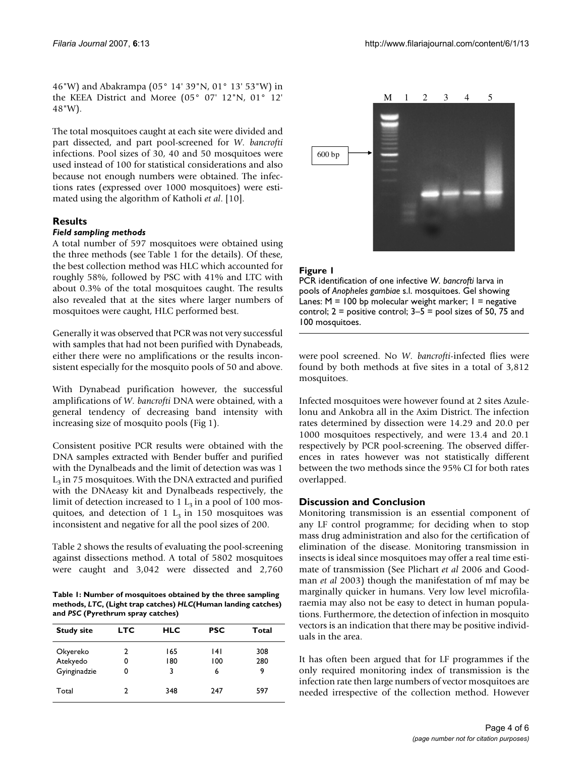46"W) and Abakrampa (05° 14' 39"N, 01° 13' 53"W) in the KEEA District and Moree (05° 07' 12"N, 01° 12' 48"W).

The total mosquitoes caught at each site were divided and part dissected, and part pool-screened for *W. bancrofti* infections. Pool sizes of 30, 40 and 50 mosquitoes were used instead of 100 for statistical considerations and also because not enough numbers were obtained. The infections rates (expressed over 1000 mosquitoes) were estimated using the algorithm of Katholi *et al*. [\[10](#page-5-1)].

### **Results**

#### *Field sampling methods*

A total number of 597 mosquitoes were obtained using the three methods (see Table 1 for the details). Of these, the best collection method was HLC which accounted for roughly 58%, followed by PSC with 41% and LTC with about 0.3% of the total mosquitoes caught. The results also revealed that at the sites where larger numbers of mosquitoes were caught, HLC performed best.

Generally it was observed that PCR was not very successful with samples that had not been purified with Dynabeads, either there were no amplifications or the results inconsistent especially for the mosquito pools of 50 and above.

With Dynabead purification however, the successful amplifications of *W. bancrofti* DNA were obtained, with a general tendency of decreasing band intensity with increasing size of mosquito pools (Fig 1).

Consistent positive PCR results were obtained with the DNA samples extracted with Bender buffer and purified with the Dynalbeads and the limit of detection was was 1  $L_3$  in 75 mosquitoes. With the DNA extracted and purified with the DNAeasy kit and Dynalbeads respectively, the limit of detection increased to  $1 L_3$  in a pool of 100 mosquitoes, and detection of 1  $L_3$  in 150 mosquitoes was inconsistent and negative for all the pool sizes of 200.

Table 2 shows the results of evaluating the pool-screening against dissections method. A total of 5802 mosquitoes were caught and 3,042 were dissected and 2,760

**Table 1: Number of mosquitoes obtained by the three sampling methods,** *LTC***, (Light trap catches)** *HLC***(Human landing catches) and** *PSC* **(Pyrethrum spray catches)**

| <b>Study site</b> | <b>LTC</b> | <b>HLC</b> | <b>PSC</b> | Total |
|-------------------|------------|------------|------------|-------|
| Okyereko          | 2          | 165        | 141        | 308   |
| Atekyedo          |            | 180        | 100        | 280   |
| Gyinginadzie      | 0          | 3          | 6          | 9     |
| Total             | າ          | 348        | 247        | 597   |



# **Figure I**

PCR identification of one infective *W. bancrofti* larva in pools of *Anopheles gambiae* s.l. mosquitoes. Gel showing Lanes:  $M = 100$  bp molecular weight marker;  $1 =$  negative control;  $2 =$  positive control;  $3-5 =$  pool sizes of 50, 75 and 100 mosquitoes.

were pool screened. No *W. bancrofti*-infected flies were found by both methods at five sites in a total of 3,812 mosquitoes.

Infected mosquitoes were however found at 2 sites Azulelonu and Ankobra all in the Axim District. The infection rates determined by dissection were 14.29 and 20.0 per 1000 mosquitoes respectively, and were 13.4 and 20.1 respectively by PCR pool-screening. The observed differences in rates however was not statistically different between the two methods since the 95% CI for both rates overlapped.

#### **Discussion and Conclusion**

Monitoring transmission is an essential component of any LF control programme; for deciding when to stop mass drug administration and also for the certification of elimination of the disease. Monitoring transmission in insects is ideal since mosquitoes may offer a real time estimate of transmission (See Plichart *et al* 2006 and Goodman *et al* 2003) though the manifestation of mf may be marginally quicker in humans. Very low level microfilaraemia may also not be easy to detect in human populations. Furthermore, the detection of infection in mosquito vectors is an indication that there may be positive individuals in the area.

It has often been argued that for LF programmes if the only required monitoring index of transmission is the infection rate then large numbers of vector mosquitoes are needed irrespective of the collection method. However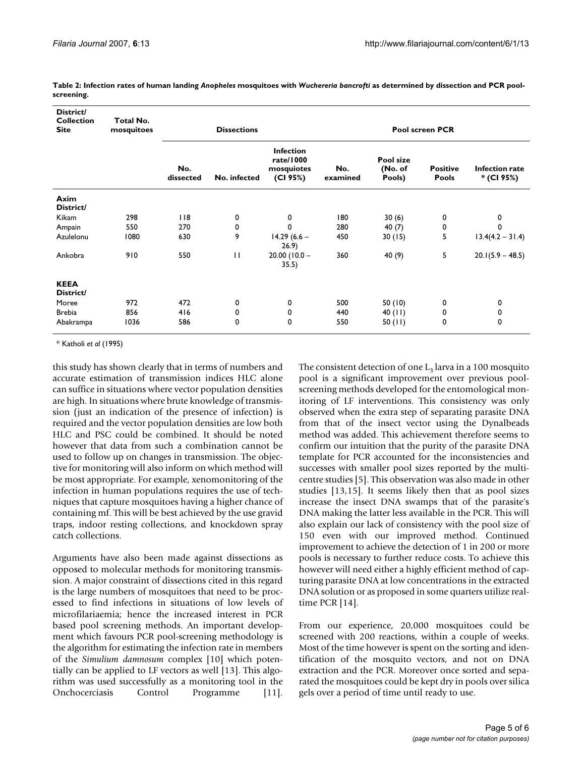| District/<br><b>Collection</b><br><b>Site</b> | Total No.<br>mosquitoes | <b>Dissections</b> |              |                                                         | Pool screen PCR |                                |                          |                              |
|-----------------------------------------------|-------------------------|--------------------|--------------|---------------------------------------------------------|-----------------|--------------------------------|--------------------------|------------------------------|
|                                               |                         | No.<br>dissected   | No. infected | <b>Infection</b><br>rate/1000<br>mosquiotes<br>(CI 95%) | No.<br>examined | Pool size<br>(No. of<br>Pools) | <b>Positive</b><br>Pools | Infection rate<br>* (CI 95%) |
| Axim<br>District/                             |                         |                    |              |                                                         |                 |                                |                          |                              |
| Kikam                                         | 298                     | 118                | 0            | 0                                                       | 180             | 30(6)                          | 0                        | 0                            |
| Ampain                                        | 550                     | 270                | 0            | 0                                                       | 280             | 40 $(7)$                       | 0                        | 0                            |
| Azulelonu                                     | 1080                    | 630                | 9            | $14.29(6.6 -$<br>26.9                                   | 450             | 30(15)                         | 5                        | $13.4(4.2 - 31.4)$           |
| Ankobra                                       | 910                     | 550                | $\mathbf{H}$ | $20.00(10.0 -$<br>35.5)                                 | 360             | 40 (9)                         | 5                        | $20.1(5.9 - 48.5)$           |
| <b>KEEA</b><br>District/                      |                         |                    |              |                                                         |                 |                                |                          |                              |
| Moree                                         | 972                     | 472                | 0            | 0                                                       | 500             | 50 (10)                        | 0                        | 0                            |
| <b>Brebia</b>                                 | 856                     | 416                | 0            | 0                                                       | 440             | $40$ (11)                      | 0                        | 0                            |
| Abakrampa                                     | 1036                    | 586                | 0            | 0                                                       | 550             | 50 (11)                        | 0                        | 0                            |
|                                               |                         |                    |              |                                                         |                 |                                |                          |                              |

**Table 2: Infection rates of human landing** *Anopheles* **mosquitoes with** *Wuchereria bancrofti* **as determined by dissection and PCR poolscreening.**

\* Katholi *et al* (1995)

this study has shown clearly that in terms of numbers and accurate estimation of transmission indices HLC alone can suffice in situations where vector population densities are high. In situations where brute knowledge of transmission (just an indication of the presence of infection) is required and the vector population densities are low both HLC and PSC could be combined. It should be noted however that data from such a combination cannot be used to follow up on changes in transmission. The objective for monitoring will also inform on which method will be most appropriate. For example, xenomonitoring of the infection in human populations requires the use of techniques that capture mosquitoes having a higher chance of containing mf. This will be best achieved by the use gravid traps, indoor resting collections, and knockdown spray catch collections.

Arguments have also been made against dissections as opposed to molecular methods for monitoring transmission. A major constraint of dissections cited in this regard is the large numbers of mosquitoes that need to be processed to find infections in situations of low levels of microfilariaemia; hence the increased interest in PCR based pool screening methods. An important development which favours PCR pool-screening methodology is the algorithm for estimating the infection rate in members of the *Simulium damnosum* complex [[10\]](#page-5-1) which potentially can be applied to LF vectors as well [13]. This algorithm was used successfully as a monitoring tool in the Onchocerciasis Control Programme [\[11](#page-5-2)].

The consistent detection of one  $L_3$  larva in a 100 mosquito pool is a significant improvement over previous poolscreening methods developed for the entomological monitoring of LF interventions. This consistency was only observed when the extra step of separating parasite DNA from that of the insect vector using the Dynalbeads method was added. This achievement therefore seems to confirm our intuition that the purity of the parasite DNA template for PCR accounted for the inconsistencies and successes with smaller pool sizes reported by the multicentre studies [5]. This observation was also made in other studies [13,15]. It seems likely then that as pool sizes increase the insect DNA swamps that of the parasite's DNA making the latter less available in the PCR. This will also explain our lack of consistency with the pool size of 150 even with our improved method. Continued improvement to achieve the detection of 1 in 200 or more pools is necessary to further reduce costs. To achieve this however will need either a highly efficient method of capturing parasite DNA at low concentrations in the extracted DNA solution or as proposed in some quarters utilize realtime PCR [[14\]](#page-5-3).

From our experience, 20,000 mosquitoes could be screened with 200 reactions, within a couple of weeks. Most of the time however is spent on the sorting and identification of the mosquito vectors, and not on DNA extraction and the PCR. Moreover once sorted and separated the mosquitoes could be kept dry in pools over silica gels over a period of time until ready to use.